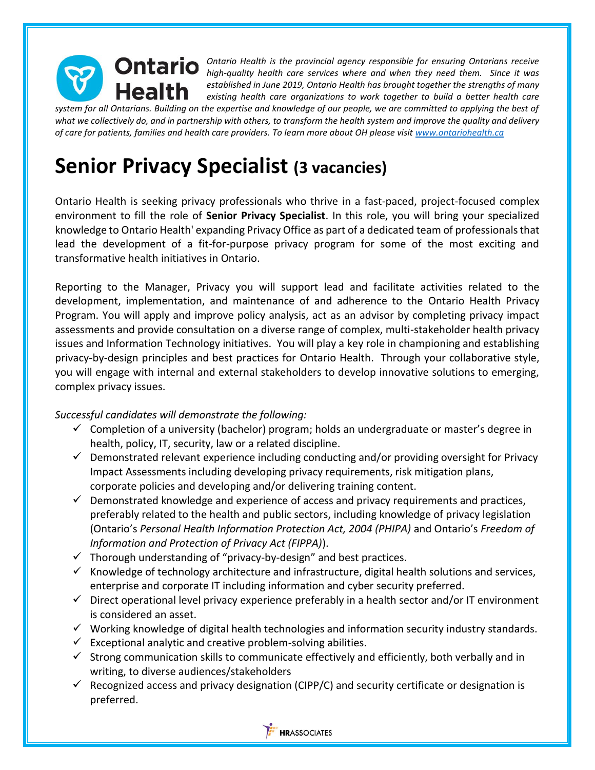

*Ontario Health is the provincial agency responsible for ensuring Ontarians receive high-quality health care services where and when they need them. Since it was established in June 2019, Ontario Health has brought together the strengths of many existing health care organizations to work together to build a better health care* 

*system for all Ontarians. Building on the expertise and knowledge of our people, we are committed to applying the best of what we collectively do, and in partnership with others, to transform the health system and improve the quality and delivery of care for patients, families and health care providers. To learn more about OH please visi[t www.ontariohealth.ca](http://www.ontariohealth.ca/)*

## **Senior Privacy Specialist (3 vacancies)**

Ontario Health is seeking privacy professionals who thrive in a fast-paced, project-focused complex environment to fill the role of **Senior Privacy Specialist**. In this role, you will bring your specialized knowledge to Ontario Health' expanding Privacy Office as part of a dedicated team of professionals that lead the development of a fit-for-purpose privacy program for some of the most exciting and transformative health initiatives in Ontario.

Reporting to the Manager, Privacy you will support lead and facilitate activities related to the development, implementation, and maintenance of and adherence to the Ontario Health Privacy Program. You will apply and improve policy analysis, act as an advisor by completing privacy impact assessments and provide consultation on a diverse range of complex, multi-stakeholder health privacy issues and Information Technology initiatives. You will play a key role in championing and establishing privacy-by-design principles and best practices for Ontario Health. Through your collaborative style, you will engage with internal and external stakeholders to develop innovative solutions to emerging, complex privacy issues.

## *Successful candidates will demonstrate the following:*

- $\checkmark$  Completion of a university (bachelor) program; holds an undergraduate or master's degree in health, policy, IT, security, law or a related discipline.
- $\checkmark$  Demonstrated relevant experience including conducting and/or providing oversight for Privacy Impact Assessments including developing privacy requirements, risk mitigation plans, corporate policies and developing and/or delivering training content.
- $\checkmark$  Demonstrated knowledge and experience of access and privacy requirements and practices, preferably related to the health and public sectors, including knowledge of privacy legislation (Ontario's *Personal Health Information Protection Act, 2004 (PHIPA)* and Ontario's *Freedom of Information and Protection of Privacy Act (FIPPA)*).
- $\checkmark$  Thorough understanding of "privacy-by-design" and best practices.
- $\checkmark$  Knowledge of technology architecture and infrastructure, digital health solutions and services, enterprise and corporate IT including information and cyber security preferred.
- ✓ Direct operational level privacy experience preferably in a health sector and/or IT environment is considered an asset.
- $\checkmark$  Working knowledge of digital health technologies and information security industry standards.
- $\checkmark$  Exceptional analytic and creative problem-solving abilities.
- $\checkmark$  Strong communication skills to communicate effectively and efficiently, both verbally and in writing, to diverse audiences/stakeholders
- $\checkmark$  Recognized access and privacy designation (CIPP/C) and security certificate or designation is preferred.